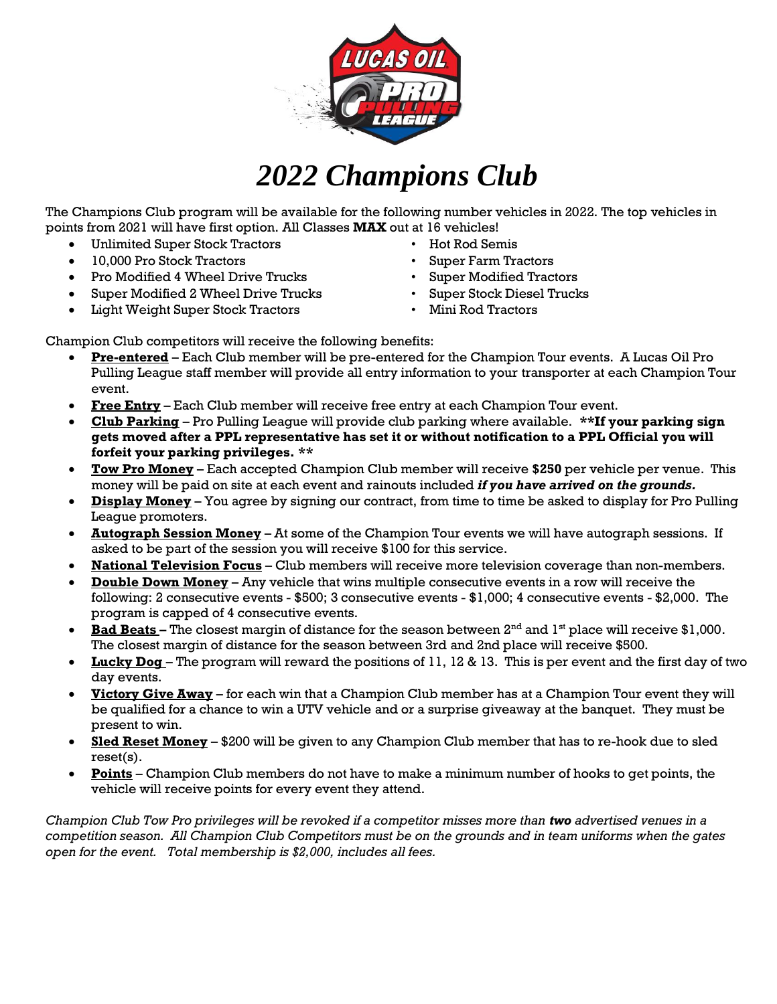

## *2022 Champions Club*

The Champions Club program will be available for the following number vehicles in 2022. The top vehicles in points from 2021 will have first option. All Classes **MAX** out at 16 vehicles!

- Unlimited Super Stock Tractors Hot Rod Semis
- 10,000 Pro Stock Tractors Super Farm Tractors
- Pro Modified 4 Wheel Drive Trucks Super Modified Tractors
- Super Modified 2 Wheel Drive Trucks Super Stock Diesel Trucks
- Light Weight Super Stock Tractors Mini Rod Tractors
- 
- 
- 
- -

Champion Club competitors will receive the following benefits:

- **Pre-entered** Each Club member will be pre-entered for the Champion Tour events. A Lucas Oil Pro Pulling League staff member will provide all entry information to your transporter at each Champion Tour event.
- **Free Entry** Each Club member will receive free entry at each Champion Tour event.
- **Club Parking** Pro Pulling League will provide club parking where available. **\*\*If your parking sign gets moved after a PPL representative has set it or without notification to a PPL Official you will forfeit your parking privileges. \*\***
- **Tow Pro Money** Each accepted Champion Club member will receive **\$250** per vehicle per venue. This money will be paid on site at each event and rainouts included *if you have arrived on the grounds.*
- **Display Money** You agree by signing our contract, from time to time be asked to display for Pro Pulling League promoters.
- **Autograph Session Money** At some of the Champion Tour events we will have autograph sessions. If asked to be part of the session you will receive \$100 for this service.
- **National Television Focus** Club members will receive more television coverage than non-members.
- **Double Down Money** Any vehicle that wins multiple consecutive events in a row will receive the following: 2 consecutive events - \$500; 3 consecutive events - \$1,000; 4 consecutive events - \$2,000. The program is capped of 4 consecutive events.
- **Bad Beats** The closest margin of distance for the season between 2<sup>nd</sup> and 1<sup>st</sup> place will receive \$1,000. The closest margin of distance for the season between 3rd and 2nd place will receive \$500.
- **Lucky Dog** The program will reward the positions of 11, 12 & 13. This is per event and the first day of two day events.
- **Victory Give Away** for each win that a Champion Club member has at a Champion Tour event they will be qualified for a chance to win a UTV vehicle and or a surprise giveaway at the banquet. They must be present to win.
- **Sled Reset Money** \$200 will be given to any Champion Club member that has to re-hook due to sled reset(s).
- **Points** Champion Club members do not have to make a minimum number of hooks to get points, the vehicle will receive points for every event they attend.

*Champion Club Tow Pro privileges will be revoked if a competitor misses more than two advertised venues in a competition season. All Champion Club Competitors must be on the grounds and in team uniforms when the gates open for the event. Total membership is \$2,000, includes all fees.*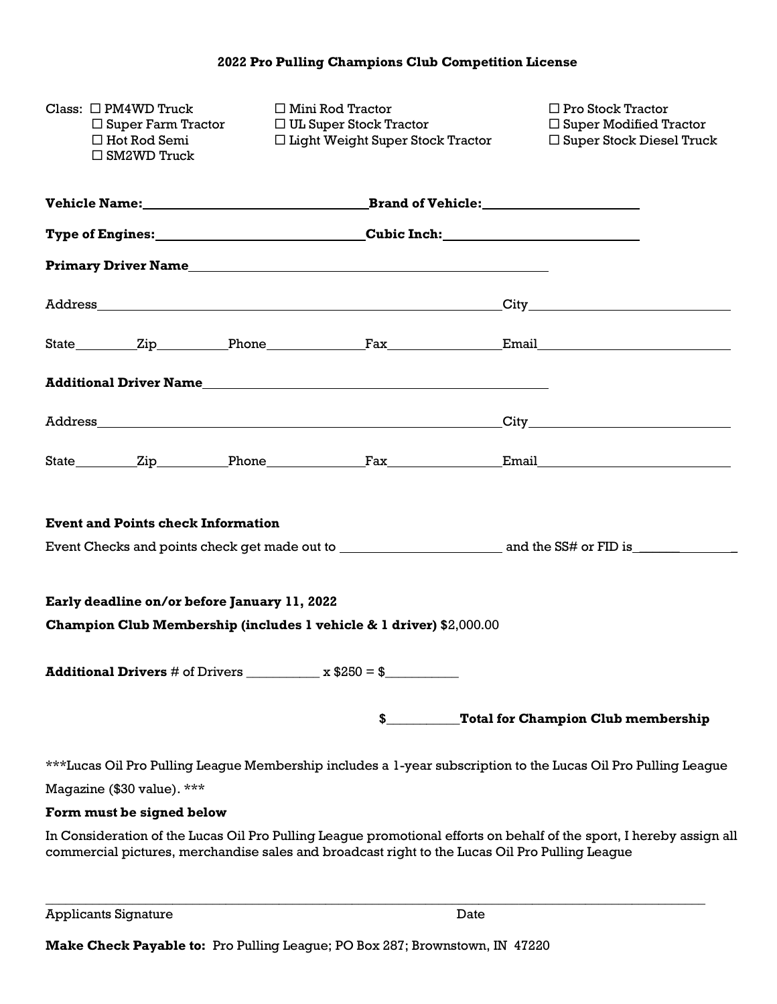|                                                                                                                                                                                                                        | Class: $\Box$ PM4WD Truck<br>$\square$ Super Farm Tractor<br>$\Box$ Hot Rod Semi<br>$\Box$ SM2WD Truck | $\Box$ Mini Rod Tractor<br>□ UL Super Stock Tractor                               | $\Box$ Light Weight Super Stock Tractor |  | $\Box$ Pro Stock Tractor<br>$\Box$ Super Modified Tractor<br>$\Box$ Super Stock Diesel Truck                  |  |  |
|------------------------------------------------------------------------------------------------------------------------------------------------------------------------------------------------------------------------|--------------------------------------------------------------------------------------------------------|-----------------------------------------------------------------------------------|-----------------------------------------|--|---------------------------------------------------------------------------------------------------------------|--|--|
|                                                                                                                                                                                                                        |                                                                                                        |                                                                                   |                                         |  |                                                                                                               |  |  |
|                                                                                                                                                                                                                        |                                                                                                        | Type of Engines:___________________________________Cubic Inch:___________________ |                                         |  |                                                                                                               |  |  |
|                                                                                                                                                                                                                        |                                                                                                        |                                                                                   |                                         |  |                                                                                                               |  |  |
|                                                                                                                                                                                                                        |                                                                                                        |                                                                                   |                                         |  |                                                                                                               |  |  |
|                                                                                                                                                                                                                        |                                                                                                        |                                                                                   |                                         |  |                                                                                                               |  |  |
|                                                                                                                                                                                                                        |                                                                                                        |                                                                                   |                                         |  |                                                                                                               |  |  |
|                                                                                                                                                                                                                        |                                                                                                        |                                                                                   |                                         |  |                                                                                                               |  |  |
|                                                                                                                                                                                                                        |                                                                                                        |                                                                                   |                                         |  |                                                                                                               |  |  |
|                                                                                                                                                                                                                        |                                                                                                        |                                                                                   |                                         |  |                                                                                                               |  |  |
|                                                                                                                                                                                                                        | <b>Event and Points check Information</b>                                                              |                                                                                   |                                         |  |                                                                                                               |  |  |
|                                                                                                                                                                                                                        |                                                                                                        |                                                                                   |                                         |  |                                                                                                               |  |  |
|                                                                                                                                                                                                                        |                                                                                                        | Early deadline on/or before January 11, 2022                                      |                                         |  |                                                                                                               |  |  |
|                                                                                                                                                                                                                        |                                                                                                        | Champion Club Membership (includes 1 vehicle & 1 driver) \$2,000.00               |                                         |  |                                                                                                               |  |  |
| <b>Additional Drivers</b> # of Drivers $\frac{1}{2}$ x \$250 = \$                                                                                                                                                      |                                                                                                        |                                                                                   |                                         |  |                                                                                                               |  |  |
|                                                                                                                                                                                                                        |                                                                                                        |                                                                                   |                                         |  | \$ Total for Champion Club membership                                                                         |  |  |
|                                                                                                                                                                                                                        |                                                                                                        |                                                                                   |                                         |  | ***Lucas Oil Pro Pulling League Membership includes a 1-year subscription to the Lucas Oil Pro Pulling League |  |  |
|                                                                                                                                                                                                                        | Magazine (\$30 value). ***                                                                             |                                                                                   |                                         |  |                                                                                                               |  |  |
|                                                                                                                                                                                                                        | Form must be signed below                                                                              |                                                                                   |                                         |  |                                                                                                               |  |  |
| In Consideration of the Lucas Oil Pro Pulling League promotional efforts on behalf of the sport, I hereby assign all<br>commercial pictures, merchandise sales and broadcast right to the Lucas Oil Pro Pulling League |                                                                                                        |                                                                                   |                                         |  |                                                                                                               |  |  |
|                                                                                                                                                                                                                        |                                                                                                        |                                                                                   |                                         |  |                                                                                                               |  |  |

| <b>Applicants Signature</b> | Date |
|-----------------------------|------|
|-----------------------------|------|